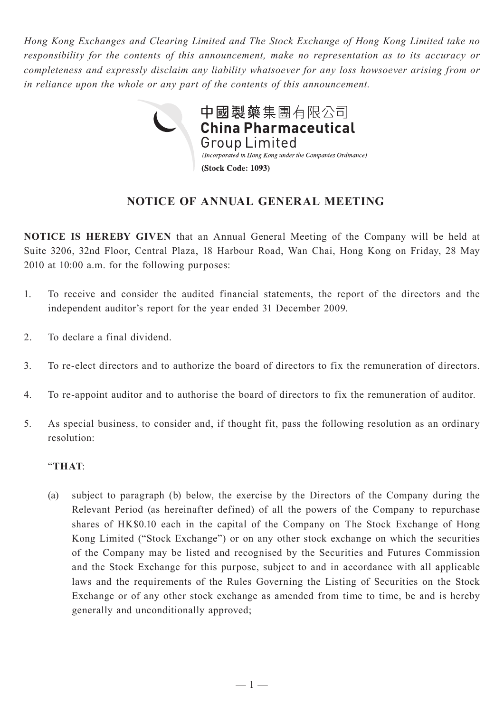*Hong Kong Exchanges and Clearing Limited and The Stock Exchange of Hong Kong Limited take no responsibility for the contents of this announcement, make no representation as to its accuracy or completeness and expressly disclaim any liability whatsoever for any loss howsoever arising from or in reliance upon the whole or any part of the contents of this announcement.*



## **NOTICE OF ANNUAL GENERAL MEETING**

**NOTICE IS HEREBY GIVEN** that an Annual General Meeting of the Company will be held at Suite 3206, 32nd Floor, Central Plaza, 18 Harbour Road, Wan Chai, Hong Kong on Friday, 28 May 2010 at 10:00 a.m. for the following purposes:

- 1. To receive and consider the audited financial statements, the report of the directors and the independent auditor's report for the year ended 31 December 2009.
- 2. To declare a final dividend.
- 3. To re-elect directors and to authorize the board of directors to fix the remuneration of directors.
- 4. To re-appoint auditor and to authorise the board of directors to fix the remuneration of auditor.
- 5. As special business, to consider and, if thought fit, pass the following resolution as an ordinary resolution:

## "**THAT**:

(a) subject to paragraph (b) below, the exercise by the Directors of the Company during the Relevant Period (as hereinafter defined) of all the powers of the Company to repurchase shares of HK\$0.10 each in the capital of the Company on The Stock Exchange of Hong Kong Limited ("Stock Exchange") or on any other stock exchange on which the securities of the Company may be listed and recognised by the Securities and Futures Commission and the Stock Exchange for this purpose, subject to and in accordance with all applicable laws and the requirements of the Rules Governing the Listing of Securities on the Stock Exchange or of any other stock exchange as amended from time to time, be and is hereby generally and unconditionally approved;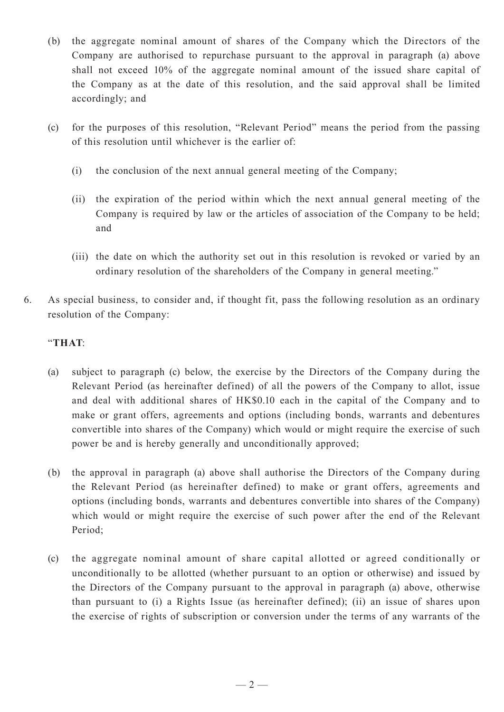- (b) the aggregate nominal amount of shares of the Company which the Directors of the Company are authorised to repurchase pursuant to the approval in paragraph (a) above shall not exceed 10% of the aggregate nominal amount of the issued share capital of the Company as at the date of this resolution, and the said approval shall be limited accordingly; and
- (c) for the purposes of this resolution, "Relevant Period" means the period from the passing of this resolution until whichever is the earlier of:
	- (i) the conclusion of the next annual general meeting of the Company;
	- (ii) the expiration of the period within which the next annual general meeting of the Company is required by law or the articles of association of the Company to be held; and
	- (iii) the date on which the authority set out in this resolution is revoked or varied by an ordinary resolution of the shareholders of the Company in general meeting."
- 6. As special business, to consider and, if thought fit, pass the following resolution as an ordinary resolution of the Company:

## "**THAT**:

- (a) subject to paragraph (c) below, the exercise by the Directors of the Company during the Relevant Period (as hereinafter defined) of all the powers of the Company to allot, issue and deal with additional shares of HK\$0.10 each in the capital of the Company and to make or grant offers, agreements and options (including bonds, warrants and debentures convertible into shares of the Company) which would or might require the exercise of such power be and is hereby generally and unconditionally approved;
- (b) the approval in paragraph (a) above shall authorise the Directors of the Company during the Relevant Period (as hereinafter defined) to make or grant offers, agreements and options (including bonds, warrants and debentures convertible into shares of the Company) which would or might require the exercise of such power after the end of the Relevant Period;
- (c) the aggregate nominal amount of share capital allotted or agreed conditionally or unconditionally to be allotted (whether pursuant to an option or otherwise) and issued by the Directors of the Company pursuant to the approval in paragraph (a) above, otherwise than pursuant to (i) a Rights Issue (as hereinafter defined); (ii) an issue of shares upon the exercise of rights of subscription or conversion under the terms of any warrants of the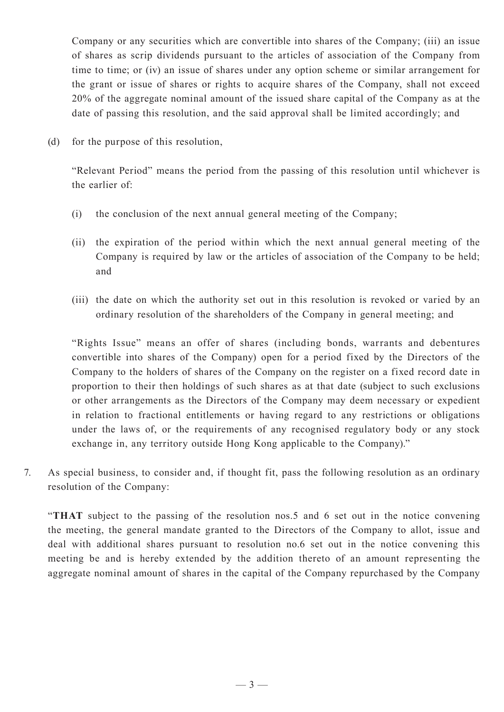Company or any securities which are convertible into shares of the Company; (iii) an issue of shares as scrip dividends pursuant to the articles of association of the Company from time to time; or (iv) an issue of shares under any option scheme or similar arrangement for the grant or issue of shares or rights to acquire shares of the Company, shall not exceed 20% of the aggregate nominal amount of the issued share capital of the Company as at the date of passing this resolution, and the said approval shall be limited accordingly; and

(d) for the purpose of this resolution,

"Relevant Period" means the period from the passing of this resolution until whichever is the earlier of:

- (i) the conclusion of the next annual general meeting of the Company;
- (ii) the expiration of the period within which the next annual general meeting of the Company is required by law or the articles of association of the Company to be held; and
- (iii) the date on which the authority set out in this resolution is revoked or varied by an ordinary resolution of the shareholders of the Company in general meeting; and

"Rights Issue" means an offer of shares (including bonds, warrants and debentures convertible into shares of the Company) open for a period fixed by the Directors of the Company to the holders of shares of the Company on the register on a fixed record date in proportion to their then holdings of such shares as at that date (subject to such exclusions or other arrangements as the Directors of the Company may deem necessary or expedient in relation to fractional entitlements or having regard to any restrictions or obligations under the laws of, or the requirements of any recognised regulatory body or any stock exchange in, any territory outside Hong Kong applicable to the Company)."

7. As special business, to consider and, if thought fit, pass the following resolution as an ordinary resolution of the Company:

"**THAT** subject to the passing of the resolution nos.5 and 6 set out in the notice convening the meeting, the general mandate granted to the Directors of the Company to allot, issue and deal with additional shares pursuant to resolution no.6 set out in the notice convening this meeting be and is hereby extended by the addition thereto of an amount representing the aggregate nominal amount of shares in the capital of the Company repurchased by the Company